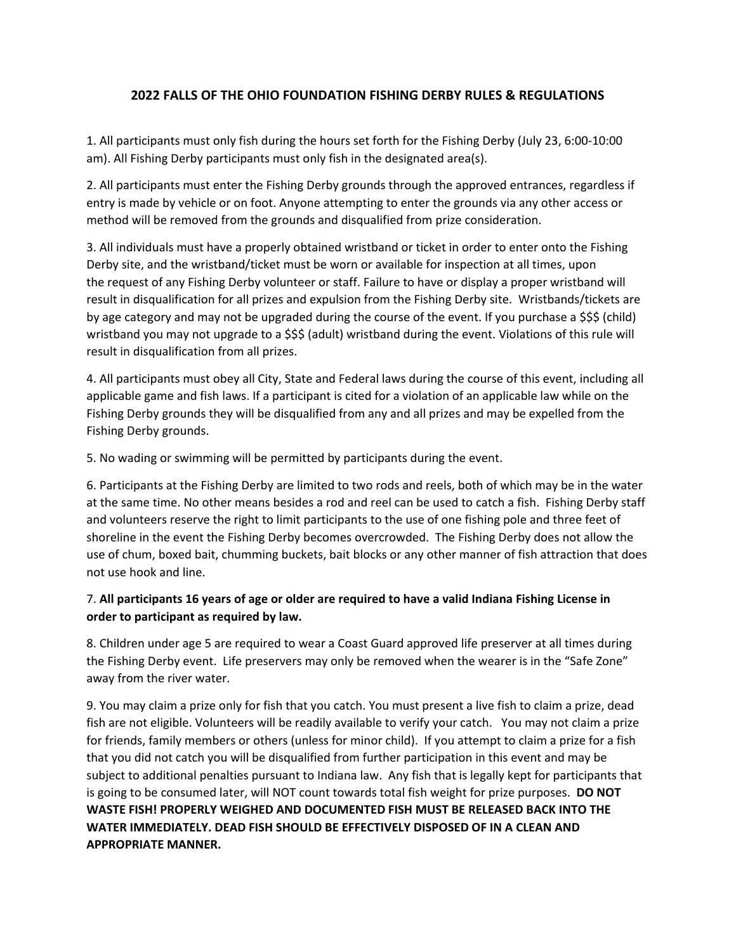## **2022 FALLS OF THE OHIO FOUNDATION FISHING DERBY RULES & REGULATIONS**

1. All participants must only fish during the hours set forth for the Fishing Derby (July 23, 6:00-10:00 am). All Fishing Derby participants must only fish in the designated area(s).

2. All participants must enter the Fishing Derby grounds through the approved entrances, regardless if entry is made by vehicle or on foot. Anyone attempting to enter the grounds via any other access or method will be removed from the grounds and disqualified from prize consideration.

3. All individuals must have a properly obtained wristband or ticket in order to enter onto the Fishing Derby site, and the wristband/ticket must be worn or available for inspection at all times, upon the request of any Fishing Derby volunteer or staff. Failure to have or display a proper wristband will result in disqualification for all prizes and expulsion from the Fishing Derby site. Wristbands/tickets are by age category and may not be upgraded during the course of the event. If you purchase a \$\$\$ (child) wristband you may not upgrade to a \$\$\$ (adult) wristband during the event. Violations of this rule will result in disqualification from all prizes.

4. All participants must obey all City, State and Federal laws during the course of this event, including all applicable game and fish laws. If a participant is cited for a violation of an applicable law while on the Fishing Derby grounds they will be disqualified from any and all prizes and may be expelled from the Fishing Derby grounds.

5. No wading or swimming will be permitted by participants during the event.

6. Participants at the Fishing Derby are limited to two rods and reels, both of which may be in the water at the same time. No other means besides a rod and reel can be used to catch a fish. Fishing Derby staff and volunteers reserve the right to limit participants to the use of one fishing pole and three feet of shoreline in the event the Fishing Derby becomes overcrowded. The Fishing Derby does not allow the use of chum, boxed bait, chumming buckets, bait blocks or any other manner of fish attraction that does not use hook and line.

## 7. **All participants 16 years of age or older are required to have a valid Indiana Fishing License in order to participant as required by law.**

8. Children under age 5 are required to wear a Coast Guard approved life preserver at all times during the Fishing Derby event. Life preservers may only be removed when the wearer is in the "Safe Zone" away from the river water.

9. You may claim a prize only for fish that you catch. You must present a live fish to claim a prize, dead fish are not eligible. Volunteers will be readily available to verify your catch. You may not claim a prize for friends, family members or others (unless for minor child). If you attempt to claim a prize for a fish that you did not catch you will be disqualified from further participation in this event and may be subject to additional penalties pursuant to Indiana law. Any fish that is legally kept for participants that is going to be consumed later, will NOT count towards total fish weight for prize purposes. **DO NOT WASTE FISH! PROPERLY WEIGHED AND DOCUMENTED FISH MUST BE RELEASED BACK INTO THE WATER IMMEDIATELY. DEAD FISH SHOULD BE EFFECTIVELY DISPOSED OF IN A CLEAN AND APPROPRIATE MANNER.**